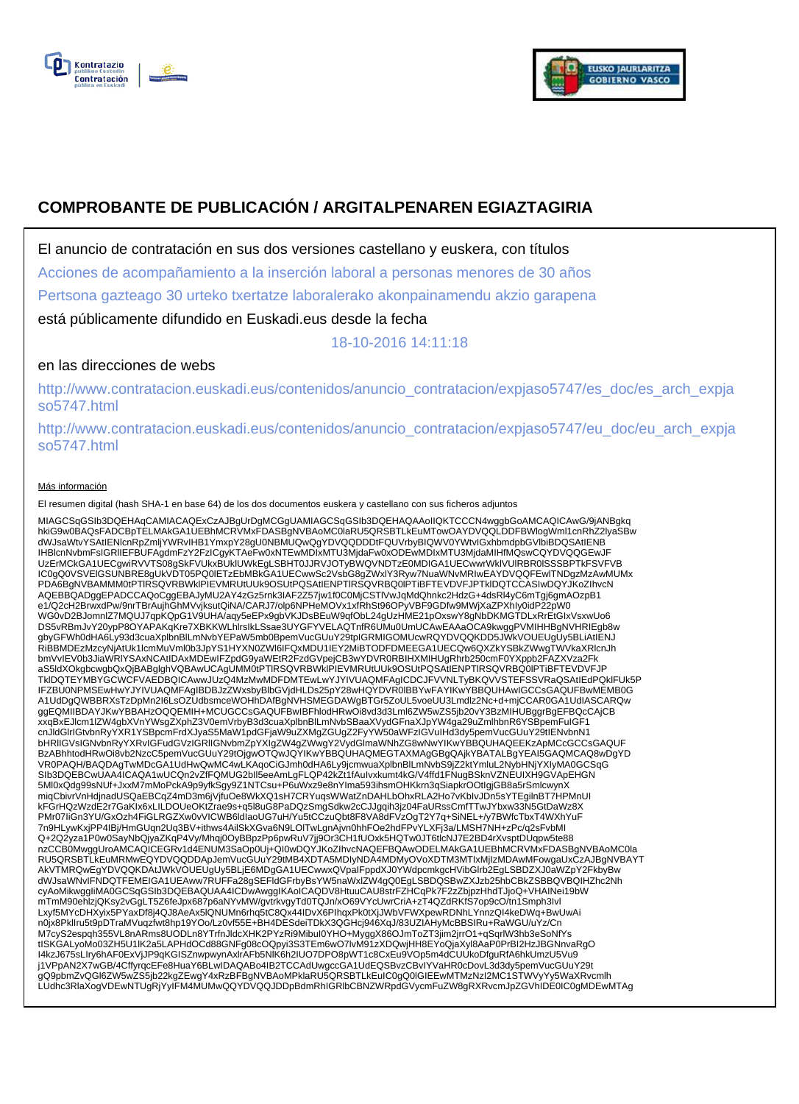



# **COMPROBANTE DE PUBLICACIÓN / ARGITALPENAREN EGIAZTAGIRIA**

El anuncio de contratación en sus dos versiones castellano y euskera, con títulos

Acciones de acompañamiento a la inserción laboral a personas menores de 30 años

Pertsona gazteago 30 urteko txertatze laboralerako akonpainamendu akzio garapena

está públicamente difundido en Euskadi.eus desde la fecha

18-10-2016 14:11:18

# en las direcciones de webs

http://www.contratacion.euskadi.eus/contenidos/anuncio\_contratacion/expjaso5747/es\_doc/es\_arch\_expja so5747.html

http://www.contratacion.euskadi.eus/contenidos/anuncio\_contratacion/expjaso5747/eu\_doc/eu\_arch\_expja so5747.html

### Más información

El resumen digital (hash SHA-1 en base 64) de los dos documentos euskera y castellano con sus ficheros adjuntos

MIAGCSqGSIb3DQEHAqCAMIACAQExCzAJBgUrDgMCGgUAMIAGCSqGSIb3DQEHAQAAoIIQKTCCCN4wggbGoAMCAQICAwG/9jANBgkq<br>hkiG9w0BAQsFADCBpTELMAkGA1UEBhMcRVMxFDASBgNVBAoMC0laRU5QR5BTLkEuMTowOAYDVQQLDDFBWIogIWmI1cnRhZ2lyaSBw<br>dWJsaWtvYSAtIENIcnR UzErMCkGA1UECgwiRVVTS08gSkFVUkxBUklUWkEgLSBHT0JJRVJOTyBWQVNDTzE0MDIGA1UECwwrWklVUlRBR0lSSSBPTkFSVFVB IC0gQ0VSVElGSUNBRE8gUkVDT05PQ0lETzEbMBkGA1UECwwSc2VsbG8gZWxlY3Ryw7NuaWNvMRIwEAYDVQQFEwlTNDgzMzAwMUMx PDA6BgNVBAMMM0tPTlRSQVRBWklPIEVMRUtUUk9OSUtPQSAtIENPTlRSQVRBQ0lPTiBFTEVDVFJPTklDQTCCASIwDQYJKoZIhvcN AQEBBQADggEPADCCAQoCggEBAJyMU2AY4zGz5rnk3IAF2Z57jw1f0C0MjCSTlVwJqMdQhnkc2HdzG+4dsRl4yC6mTgj6gmAOzpB1 e1/Q2cH2BrwxdPw/9nrTBrAujhGhMVvjksutQiNA/CARJ7/olp6NPHeMOVx1xfRhSt96OPyVBF9GDfw9MWjXaZPXhIy0idP22pW0<br>WG0vD2BJomnlZ7MQUJ7qpKQpG1V9UHA/aqy5eEPx9gbVKJDsBEuW9qfObL24gUzHME21pOxswY8gNbDKMGTDLxRrEtGIxVsxwUo6 DS5vRBmJvY20ypP8OYAPAKqKre7XBKKWLhIrsIkLSsae3UYGFYVELAQTnfR6UMu0UmUCAwEAAaOCA9kwggPVMIHHBgNVHRIEgb8w<br>gbyGFWh0dHA6Ly93d3cuaXplbnBlLmNvbYEPaW5mb0BpemVucGUuY29tpIGRMIGOMUcwRQYDVQQKDD5JWkVOUEUgUy5BLiAtIENJ<br>RiBBMDEzMzcyNjAtUk1I bmVvIEV0b3JiaWRlYSAxNCAtIDAxMDEwIFZpdG9yaWEtR2FzdGVpejCB3wYDVR0RBIHXMIHUgRhrb250cmF0YXppb2FAZXVza2Fk aS5ldXOkgbcwgbQxQjBABglghVQBAwUCAgUMM0tPTlRSQVRBWklPIEVMRUtUUk9OSUtPQSAtIENPTlRSQVRBQ0lPTiBFTEVDVFJP TklDQTEYMBYGCWCFVAEDBQICAwwJUzQ4MzMwMDFDMTEwLwYJYIVUAQMFAgICDCJFVVNLTyBKQVVSTEFSSVRaQSAtIEdPQklFUk5P IFZBU0NPMSEwHwYJYIVUAQMFAgIBDBJzZWxsbyBlbGVjdHLDs25pY28wHQYDVR0lBBYwFAYIKwYBBQUHAwIGCCsGAQUFBwMEMB0G<br>A1UdDgQWBBRXsTzDpMn2l6LsOZUdbsmceWOHhDAfBgNVHSMEGDAWgBTGr5ZoUL5voeUU3Lmdlz2Nc+d+mjCCAR0GA1UdIASCARQw<br>ggEQMIIBDAYJKwYBBAHz xxqBxEJlcm1lZW4gbXVnYWsgZXphZ3V0emVrbyB3d3cuaXplbnBlLmNvbSBaaXVydGFnaXJpYW4ga29uZmlhbnR6YSBpemFuIGF1 cnJldGlrIGtvbnRyYXR1YSBpcmFrdXJyaS5MaW1pdGFjaW9uZXMgZGUgZ2FyYW50aWFzIGVuIHd3dy5pemVucGUuY29tIENvbnN1 bHRlIGVsIGNvbnRyYXRvIGFudGVzIGRlIGNvbmZpYXIgZW4gZWwgY2VydGlmaWNhZG8wNwYIKwYBBQUHAQEEKzApMCcGCCsGAQUF BzABhhtodHRwOi8vb2NzcC5pemVucGUuY29tOjgwOTQwJQYIKwYBBQUHAQMEGTAXMAgGBgQAjkYBATALBgYEAI5GAQMCAQ8wDgYD VR0PAQH/BAQDAgTwMDcGA1UdHwQwMC4wLKAqoCiGJmh0dHA6Ly9jcmwuaXplbnBlLmNvbS9jZ2ktYmluL2NybHNjYXIyMA0GCSqG SIb3DQEBCwUAA4ICAQA1wUCQn2vZfFQMUG2bll5eeAmLgFLQP42kZt1fAuIvxkumt4kG/V4ffd1FNugBSknVZNEUIXH9GVApEHGN<br>5Ml0xQdg99sNUf+JxxM7mMoPckA9p9yfkSgy9Z1NTCsu+P6uWxz9e8nYIma593ihsmOHKkrn3qSiapkrOOtIgjGB8a5rSmlcwynX miqCbivrVnHdjnadUSQaEBCqZ4mD3m6jVjfuOe8WkXQ1sH7CRYuqsWWatZnDAHLbOhxRLA2Ho7vKbIvJDn5sYTEgilnBT7HPMnUI kFGrHQzWzdE2r7GaKIx6xLILDOUeOKtZrae9s+q5l8uG8PaDQzSmgSdkw2cCJJgqih3jz04FaURssCmfTTwJYbxw33N5GtDaWz8X PMr07IiGn3YU/GxOzh4FiGLRGZXw0vVICWB6ldIaoUG7uH/Yu5tCCzuQbt8F8VA8dFVzOgT2Y7q+SiNEL+/y7BWfcTbxT4WXhYuF 7n9HLywKxjPP4IBj/HmGUqn2Uq3BV+ithws4AilSkXGva6N9LOlTwLgnAjvn0hhFOe2hdFPvYLXFj3a/LMSH7NH+zPc/q2sFvbMI Q+2Q2yza1P0w0SayNbQjyaZKqP4Vy/Mhqj0OyBBpzPp6pwRuV7jj9Or3CH1fUOxk5HQTw0JT6tlcNJ7E2BD4rXvsptDUqpw5te88 nzCCB0MwggUroAMCAQICEGRv1d4ENUM3SaOp0Uj+QI0wDQYJKoZIhvcNAQEFBQAwODELMAkGA1UEBhMCRVMxFDASBgNVBAoMC0la RU5QRSBTLkEuMRMwEQYDVQQDDApJemVucGUuY29tMB4XDTA5MDIyNDA4MDMyOVoXDTM3MTIxMjIzMDAwMFowgaUxCzAJBgNVBAYT AkVTMRQwEgYDVQQKDAtJWkVOUEUgUy5BLjE6MDgGA1UECwwxQVpaIFppdXJ0YWdpcmkgcHVibGlrb2EgLSBDZXJ0aWZpY2FkbyBw<br>dWJsaWNvIFNDQTFEMEIGA1UEAww7RUFFa28gSEFIdGFrbyBsYW5naWxlZW4gQ0EgLSBDQSBwZXJzb25hbCBkZSBBQVBQIHZhc2Nh<br>cyAoMikwggliMA0GCSqG mTmM90ehlzjQKsy2vGgLT5Z6feJpx687p6aNYvMW/gvtrkvgyTd0TQJn/xO69VYcUwrCriA+zT4QZdRKfS7op9cO/tn1Smph3Ivl Lxyf5MYcDHXyix5PYaxDf8j4QJ8AeAx5lQNUMn6rhq5tC8Qx44IDvX6PIhqxPk0tXjJWbVFWXpewRDNhLYnnzQI4keDWq+BwUwAi n0jx8PklIru5t9pDTraMVuqzfwt8hp19YOo/Lz0vf55E+BH4DESdeiTDkX3QGHcj946XqJ/83UZIAHyMcBBSIRu+RaWGU/uYz/Cn M7cyS2espqh355VL8nARms8UODLn8YTrfnJldcXHK2PYzRi9MibuI0YHO+MyggX86OJmToZT3jim2jrrO1+qSqrlW3hb3eSoNfYs<br>tISKGALyoMo03ZH5U1IK2a5LAPHdOCd88GNFg08cOQpyi3S3TEm6wO7lvM91zXDQwjHH8EYoQjaXyI8AaP0PrBI2HzJBGNnvaRgO<br>I4kzJ675sLIry6hAF0Ex j1VPpAN2X7wGB/4CffyrqcEFe8HuaY6BLwIDAQABo4IB2TCCAdUwgccGA1UdEQSBvzCBvIYVaHR0cDovL3d3dy5pemVucGUuY29t<br>gQ9pbmZvQGl6ZW5wZS5jb22kgZEwgY4xRzBFBgNVBAoMPklaRU5QRSBTLkEuIC0gQ0IGIEEwMTMzNzI2MC1STWVyYy5WaXRvcmlh LUdhc3RlaXogVDEwNTUgRjYyIFM4MUMwQQYDVQQJDDpBdmRhIGRlbCBNZWRpdGVycmFuZW8gRXRvcmJpZGVhIDE0IC0gMDEwMTAg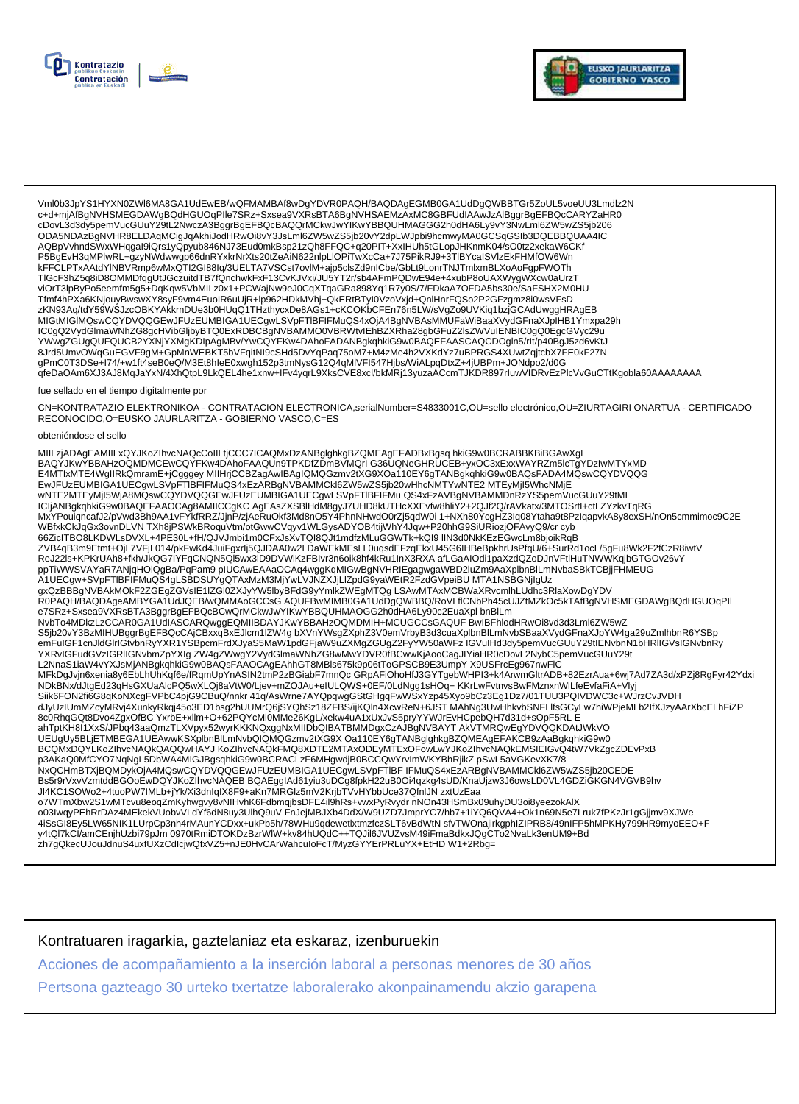



Vml0b3JpYS1HYXN0ZWl6MA8GA1UdEwEB/wQFMAMBAf8wDgYDVR0PAQH/BAQDAgEGMB0GA1UdDgQWBBTGr5ZoUL5voeUU3Lmdlz2N<br>c+d+mjAfBgNVHSMEGDAWgBQdHGUOqPIle7SRz+Sxsea9VXRsBTA6BgNVHSAEMzAxMC8GBFUdIAAwJzAlBggrBgEFBQcCARYZaHR0 cDovL3d3dy5pemVucGUuY29tL2NwczA3BggrBgEFBQcBAQQrMCkwJwYlKwYBBQUHMAGGG2h0dHA6Ly9vY3NwLml6ZW5wZS5jb206 ODA5NDAzBgNVHR8ELDAqMCigJqAkhiJodHRwOi8vY3JsLml6ZW5wZS5jb20vY2dpLWJpbi9hcmwyMA0GCSqGSIb3DQEBBQUAA4IC AQBpVvhndSWxWHqgal9iQrs1yQpyub846NJ73Eud0mkBsp21zQh8FFQC+q20PIT+XxIHUh5tGLopJHKnmK04/sO0tz2xekaW6CKf P5BgEvH3qMPlwRL+gzyNWdwwgp66dnRYxkrNrXts20tZeAiN622nlpLlOPiTwXcCa+7J75PikRJ9+3TlBYcaISVlzEkFHMfOW6Wn kFFCLPTxAAtdYlNBVRmp6wMxQTI2GI88Iq/3UELTA7VSCst7ovlM+ajp5clsZd9nICbe/GbLt9LonrTNJTmlxmBLXoAoFgpFWOTh TIGcF3hZ5q8iD8OMMDfqgUtJGczuitdTB7fQnchwkFxF13CvKJVxi/JU5YT2r/sb4AFmPQDwE94e+4xubP8oUAXWygWXcw0aUrzT zKN93Aq/tdY59WSJzcOBKYAKkrnDUe3b0HUqQ1THzthycxDe8AGs1+cKCOKbCFEn76n5LW/sVgZo9UVKiq1bzjGCAdUwggHRAgEB MIGtMIGIMQswCQYDVQQGEwJFUzEUMBIGA1UECgwLSVpFTIBFIFMuQS4xOjA4BgNVBAsMMUFaWiBaaXVydGFnaXJpIHB1Ymxpa29h IC0gQ2VydGlmaWNhZG8gcHVibGljbyBTQ0ExRDBCBgNVBAMMO0VBRWtvlEhBZXRha28gbGFuZ2lsZWVuIENBIC0gQ0EgcGVyc29u YWwgZGUgQUFQUCB2YXNjYXMgKDIpAgMBv/YwCQYFKw4DAhoFADANBgkqhkiG9w0BAQEFAASCAQCDOgln5/rlt/p40BgJ5zd6vKtJ 8Jrd5UmvOWqGuEGVF9gM+GpMnWEBKT5bVFqitNl9cSHd5DvYqPaq75oM7+M4zMe4h2VXKdYz7uBPRGS4XUwtZqjtcbX7FE0kF27N<br>gPmC0T3DSe+I74/+w1ft4seB0eQ/M3Et8hleE0xwgh152p3tmNysG12Q4qMlVFl547Hjbs/WiALpqDtxZ+4jUBPm+JONdpo2/d0G qfeDaOAm6XJ3AJ8MqJaYxN/4XhQtpL9LkQEL4he1xnw+IFv4yqrL9XksCVE8xcl/bkMRj13yuzaACcmTJKDR897rluwVIDRvEzPlcVvGuCTtKgobla60AAAAAAA

#### fue sellado en el tiempo digitalmente por

CN=KONTRATAZIO ELEKTRONIKOA - CONTRATACION ELECTRONICA,serialNumber=S4833001C,OU=sello electrónico,OU=ZIURTAGIRI ONARTUA - CERTIFICADO RECONOCIDO, O=EUSKO JAURLARITZA - GOBIERNO VASCO, C=ES

#### obteniéndose el sello

MIILzjADAgEAMIILxQYJKoZIhvcNAQcCoIILtjCCC7ICAQMxDzANBglghkgBZQMEAgEFADBxBgsq hkiG9w0BCRABBKBiBGAwXgl BAQYJKwYBBAHzOQMDMCEwCQYFKw4DAhoFAAQUn9TPKDfZDmBVMQrIG36UQNeGHRUCEB+yxOC3xExxWAYRZm5lcTgYDzIwMTYxMD E4MTIxMTE4WgIIRkQmramE+jCgggey MIIHrjCCBZagAwIBAgIQMQGzmv2tXG9XOa110EY6gTANBgkqhkiG9w0BAQsFADA4MQswCQYDVQQG EwJFUzEUMBIGA1UECgwLSVpFTIBFIFMuQS4xEzARBgNVBAMMCkI6ZW5wZS5jb20wHhcNMTYwNTE2 MTEyMjI5WhcNMjE wNTE2MTEyMjI5WjA8MQswCQYDVQQGEwJFUzEUMBIGA1UECgwLSVpFTIBFIFMu QS4xFzAVBgNVBAMMDnRzYS5pemVucGUuY29tMI WBfxkCkJqGx3ovnDLVN TXh8jPSWkBRoquVtm/otGwwCVqyv1WLGysADYOB4tijWhY4Jqw+P20hhG9SiURiozjOFAvyQ9/cr cyb 66ZiclTBO8LKDWLsDVXL+4PE30L+fH/QJVJmbi1m0CFxJsXvTQI8QJt1mdfzMLuGGWTk+kQI9 IIN3d0NkKEzEGwcLm8bjoikRqB ZVB4qB3m9Etmt+OjL7VFjL014/pkFwKd4JuiFgxrlj5QJDAA0w2LDaWEkMEsLL0uqsdEFzqEkxU45G6IHBeBpkhrUsPfqU/6+SurRd1ocL/5gFu8Wk2F2fCzR8iwtV ReJ22Is+KPKrUAh8+fkh/JkQG7IYFqCNQN5Ql5wx3ID9DVWlKzFBIvr3n6oik8hf4kRu1InX3RXA afLGaAlOdi1paXzdQZoDJnVFtlHuTNWWKqjbGTGOv26vY … содержить на полнять последником поддержить последником и полнять и полнять и полнять полнять и полнять дела<br>В последность и полнять полнять пользования и полнять и полнять и полнять и полнять и полнять дела и полнять п e7SRz+Sxsea9VXRsBTA3BggrBgEFBQcBCwQrMCkwJwYlKwYBBQUHMAOGG2h0dHA6Ly90c2EuaXpl bnBlLm NvbTo4MDkzLzCCAR0GA1UdIASCARQwggEQMIIBDAYJKwYBBAHzOQMDMIH+MCUGCCsGAQUF BwIBFhlodHRwOi8vd3d3Lml6ZW5wZ S5jb20vY3BzMIHUBggrBgEFBQcCAjCBxxqBxEJlcm1IZW4gbXVnYWsgZXphZ3V0emVrbyB3d3cuaXplbnBlLmNvbSBaaXVydGFnaXJpYW4ga29uZmlhbnR6YSBp emFulGF1cnJldGlrlGtvbnRyYXR1YSBpcmFrdXJyaS5MaW1pdGFjaW9uZXMgZGUgZ2FyYW50aWFzIGVulHd3dy5pemVucGUuY29tlENvbnN1bHRllGVslGNvbnRy YXRvIGFudGVzIGRIIGNvbmZpYXIg ZW4gZWwgY2VydGlmaWNhZG8wMwYDVR0fBCwwKjAooCagJlYiaHR0cDovL2NybC5pemVucGUuY29t L2NnaS1iaW4vYXJsMjANBgkqhkiG9w0BAQsFAAOCAgEAhhGT8MBls675k9p06tToGPSCB9E3UmpYX9USFrcEg967nwFlC ENGLISHER AUGUST AUGUST AUGUST AUGUST AUGUST AUGUST AUGUST AUGUST AUGUST AUGUST AUGUST AUGUST AUGUST AUGUST AUG<br>AUGUST AUGUST AUGUST AUGUST AUGUST AUGUST AUGUST AUGUST AUGUST AUGUST AUGUST AUGUST AUGUST AUGUST AUGUST AUGUS NEW WARD WAS ARRESTED FOR A CONNECT WAS ARRESTED FOR A CONTROL OF SUIT OF THE WAY OF CONTROLLY WAT A THE SUIT ON CONTROLLY IN THE SUIT OF SUIT ON CONTROLLY INTO THE SUIT OF ONE OF THE SUIT OF ONE OF THE SUIT OF ONE OF THE 8c0RhqGQt8Dvo4ZgxOfBC YxrbE+xllm+O+62PQYcMi0MMe26KgL/xekw4uA1xUxJvS5pryYYWJrEvHCpebQH7d31d+sOpF5RL E ahTptKH8I1XxS/JPbq43aaQmzTLXVpyx52wyrKKKNQxggNxMIIDbQIBATBMMDgxCzAJBgNVBAYT AkVTMRQwEgYDVQQKDAtJWkVO UEUgUy5BLjETMBEGA1UEAwwKSXplbnBlLmNvbQlQMQGzmv2tXG9X Oa110EY6gTANBglghkgBZQMEAgEFAKCB9zAaBgkqhkiG9w0 BCQMxDQYLKoZIhvcNAQkQAQQwHAYJ KoZIhvcNAQkFMQ8XDTE2MTAxODEyMTExOFowLwYJKoZIhvcNAQkEMSIEIGvQ4tW7VkZgcZDEvPxB DOAKAQOMfCYO7NqNgL5DbWA4MIGJBgsqhkiG9w0BCRACLzF6MHgwdjB0BCCQwYrvImWKYBhRjikZ pSwL5aVGKevXK7/8<br>NxQCHmBTXjBQMDykOjA4MQswCQYDVQQGEwJFUzEUMBIGA1UECgwLSVpFTIBF IFMuQS4xEzARBgNVBAMMCkl6ZW5wZS5jb20CEDE - RS5r9rVxvVzmtddBGOoEwDQYJKoZIhvcNAQEB-BQAEggIAd61yiu3uDCg8fpkH22uB0Oi4qzkg4sUD/KnaUjzw3J6owsLD0VL4GDZiGKGN4VGVB9hv<br>JI4KC1SOWo2+4tuoPW7IMLb+jYk/Xi3dnIqIX8F9+aKn7MRGIz5mV2KrjbTVvHYbbUce37QfnlJN zxtUzEaa o7WTmXbw2S1wMTcvu8eoqZmKyhwgvy8vNIHvhK6FdbmqjbsDFE4il9hRs+vwxPyRvydr nNOn43HSmBx09uhyDU3oi8yeezokAlX o03lwqyPEhRrDAz4MEkekVUobvVLdYf6dN8uy3UlhQ9uVFnJejMBJXb4DdX/W9UZD7JmprYC7/hb7+1iYQ6QVA4+Ok1n69N5e7Lruk7fPKzJr1gGjjmv9XJWe 4iSsGI8Ey5LW65NIK1LUrpCp3nh4rMAunYCDxx+ukPb5h/78WHu9qdewetlxtmzfczSLT6vBdWtN sfvTWOnajirkgphlZIPRB8/49nIFP5hMPKHy799HR9myoEEO+F y4tQl7kCl/amCEnjhUzbi79pJm 0970tRmiDTOKDzBzrWlW+kv84hUQdC++TQJil6JVUZvsM49iFmaBdkxJQgCTo2NvaLk3enUM9+Bd zh7gQkecUJouJdnuS4uxfUXzCdlcjwQfxVZ5+nJE0HvCArWahculoFcT/MyzGYYErPRLuYX+EtHD W1+2Rbg=

Kontratuaren iragarkia, gaztelaniaz eta eskaraz, izenburuekin

Acciones de acompañamiento a la inserción laboral a personas menores de 30 años

Pertsona gazteago 30 urteko txertatze laboralerako akonpainamendu akzio garapena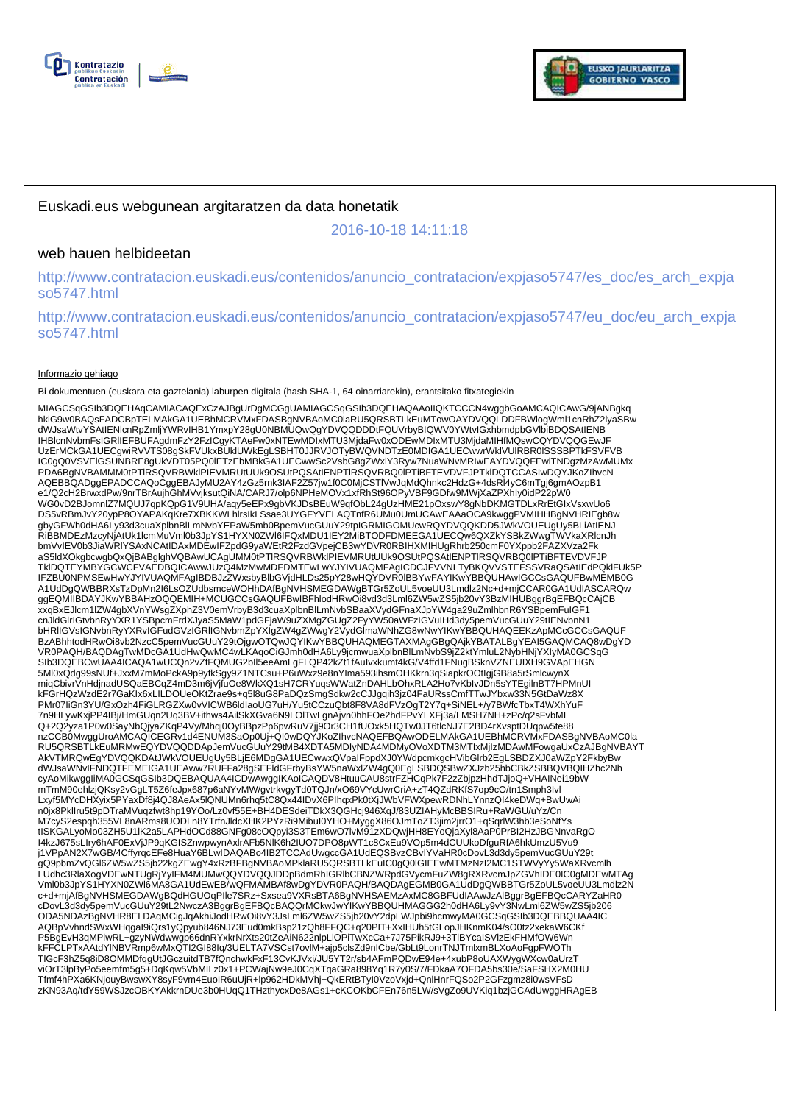



# Euskadi.eus webgunean argitaratzen da data honetatik

2016-10-18 14:11:18

## web hauen helbideetan

http://www.contratacion.euskadi.eus/contenidos/anuncio\_contratacion/expjaso5747/es\_doc/es\_arch\_expja so5747.html

http://www.contratacion.euskadi.eus/contenidos/anuncio\_contratacion/expjaso5747/eu\_doc/eu\_arch\_expja so5747.html

### Informazio gehiago

Bi dokumentuen (euskara eta gaztelania) laburpen digitala (hash SHA-1, 64 oinarriarekin), erantsitako fitxategiekin

MIAGCSqGSIb3DQEHAqCAMIACAQExCzAJBgUrDgMCGgUAMIAGCSqGSIb3DQEHAQAAoIIQKTCCCN4wggbGoAMCAQICAwG/9jANBgkq hkiG9w0BAQsFADCBpTELMAkGA1UEBhMCRVMxFDASBgNVBAoMC0laRU5QRSBTLkEuMTowOAYDVQQLDDFBWlogWml1cnRhZ2lyaSBw dWJsaWtvYSAtIENlcnRpZmljYWRvIHB1YmxpY28gU0NBMUQwQgYDVQQDDDtFQUVrbyBIQWV0YWtvIGxhbmdpbGVlbiBDQSAtIENB IHBlcnNvbmFsIGRlIEFBUFAgdmFzY2FzICgyKTAeFw0xNTEwMDIxMTU3MjdaFw0xODEwMDIxMTU3MjdaMIHfMQswCQYDVQQGEwJF UzErMCkGA1UECgwiRVVTS08gSkFVUkxBUklUWkEgLSBHT0JJRVJOTyBWQVNDTzE0MDIGA1UECwwrWklVUlRBR0lSSSBPTkFSVFVB IC0gQ0VSVElGSUNBRE8gUkVDT05PQ0lETzEbMBkGA1UECwwSc2VsbG8gZWxlY3Ryw7NuaWNvMRIwEAYDVQQFEwlTNDgzMzAwMUMx PDA6BgNVBAMMM0tPTlRSQVRBWklPIEVMRUtUUk9OSUtPQSAtIENPTlRSQVRBQ0lPTiBFTEVDVFJPTklDQTCCASIwDQYJKoZIhvcN AQEBBQADggEPADCCAQoCggEBAJyMU2AY4zGz5rnk3IAF2Z57jw1f0C0MjCSTlVwJqMdQhnkc2HdzG+4dsRl4yC6mTgj6gmAOzpB1 e1/Q2cH2BrwxdPw/9nrTBrAujhGhMVvjksutQiNA/CARJ7/olp6NPHeMOVx1xfRhSt96OPyVBF9GDfw9MWjXaZPXhIy0idP22pW0 WG0vD2BJomnlZ7MQUJ7qpKQpG1V9UHA/aqy5eEPx9gbVKJDsBEuW9qfObL24gUzHME21pOxswY8gNbDKMGTDLxRrEtGIxVsxwUo6 DS5vRBmJvY20ypP8OYAPAKqKre7XBKKWLhlrsIkLSsae3UYGFYVELAQTnfR6UMu0UmUCAwEAAaOCA9kwggPVMIHHBgNVHRIEgb8w gbyGFWh0dHA6Ly93d3cuaXplbnBlLmNvbYEPaW5mb0BpemVucGUuY29tpIGRMIGOMUcwRQYDVQQKDD5JWkVOUEUgUy5BLiAtIENJ<br>RiBBMDEzMzcyNjAtUk1lcmMuVml0b3JpYS1HYXN0ZWI6IFQxMDU1IEY2MiBTODFDMEEGA1UECQw6QXZkYSBkZWwgTWVkaXRlcnJh bmVvIEV0b3JiaWRIYSAxNCAtIDAxMDEwIFZpdG9yaWEtR2FzdGVpejCB3wYDVR0RBIHXMIHUgRhrb250cmF0YXppb2FAZXVza2Fk<br>aS5ldXOkgbcwgbQxQjBABglghVQBAwUCAgUMM0tPTIRSQVRBWkIPIEVMRUtUUk9OSUtPQSAtIENPTIRSQVRBQ0IPTiBFTEVDVFJP TklDQTEYMBYGCWCFVAEDBQICAwwJUzQ4MzMwMDFDMTEwLwYJYIVUAQMFAgICDCJFVVNLTyBKQVVSTEFSSVRaQSAtIEdPQklFUk5P IFZBU0NPMSEwHwYJYIVUAQMFAgIBDBJzZWxsbyBlbGVjdHLDs25pY28wHQYDVR0lBBYwFAYIKwYBBQUHAwIGCCsGAQUFBwMEMB0G A1UdDgQWBBRXsTzDpMn2I6LsOZUdbsmceWOHhDAfBgNVHSMEGDAWgBTGr5ZoUL5voeUU3Lmdlz2Nc+d+mjCCAR0GA1UdIASCARQw ggEQMIIBDAYJKwYBBAHzOQQEMIH+MCUGCCsGAQUFBwIBFhlodHRwOi8vd3d3Lml6ZW5wZS5jb20vY3BzMIHUBggrBgEFBQcCAjCB xxqBxEJlcm1lZW4gbXVnYWsgZXphZ3V0emVrbyB3d3cuaXplbnBlLmNvbSBaaXVydGFnaXJpYW4ga29uZmlhbnR6YSBpemFuIGF1 cnJldGlrIGtvbnRyYXR1YSBpcmFrdXJyaS5MaW1pdGFjaW9uZXMgZGUgZ2FyYW50aWFzIGVuIHd3dy5pemVucGUuY29tIENvbnN1 bHRIIGVsIGNvbnRyYXRvIGFudGVzIGRIIGNvbmZpYXIgZW4gZWwgY2VydGlmaWNhZG8wNwYIKwYBBQUHAQEEKzApMCcGCCsGAQUF<br>BzABhhtodHRwOi8vb2NzcC5pemVucGUuY29tOjgwOTQwJQYIKwYBBQUHAQMEGTAXMAgGBgQAjkYBATALBgYEAI5GAQMCAQ8wDgYD VR0PAQH/BAQDAgTwMDcGA1UdHwQwMC4wLKAqoCiGJmh0dHA6Ly9jcmwuaXplbnBlLmNvbS9jZ2ktYmluL2NybHNjYXIyMA0GCSqG SIb3DQEBCwUAA4ICAQA1wUCQn2vZfFQMUG2bIl5eeAmLgFLQP42kZt1fAuIvxkumt4kG/V4ffd1FNugBSknVZNEUIXH9GVApEHGN 5Ml0xQdg99sNUf+JxxM7mMoPckA9p9yfkSgy9Z1NTCsu+P6uWxz9e8nYIma593ihsmOHKkrn3qSiapkrOOtIgjGB8a5rSmlcwynX miqCbivrVnHdjnadUSQaEBCqZ4mD3m6jVjfuOe8WkXQ1sH7CRYuqsWWatZnDAHLbOhxRLA2Ho7vKbIvJDn5sYTEgilnBT7HPMnUI kFGrHQzWzdE2r7GaKIx6xLILDOUeOKtZrae9s+q5l8uG8PaDQzSmgSdkw2cCJJgqih3jz04FaURssCmfTTwJYbxw33N5GtDaWz8X PMr07IiGn3YU/GxOzh4FiGLRGZXw0vVICWB6ldIaoUG7uH/Yu5tCCzuQbt8F8VA8dFVzOgT2Y7q+SiNEL+/y7BWfcTbxT4WXhYuF 7n9HLywKxjPP4IBj/HmGUqn2Uq3BV+ithws4AilSkXGva6N9LOlTwLgnAjvn0hhFOe2hdFPvYLXFj3a/LMSH7NH+zPc/q2sFvbMl<br>Q+2Q2yza1P0w0SayNbQjyaZKqP4Vy/Mhqj0OyBBpzPp6pwRuV7jj9Or3CH1fUOxk5HQTw0JT6tlcNJ7E2BD4rXvsptDUqpw5te88 nzCCB0MwggUroAMCAQICEGRv1d4ENUM3SaOp0Uj+QI0wDQYJKoZIhvcNAQEFBQAwODELMAkGA1UEBhMCRVMxFDASBgNVBAoMC0la RU5QRSBTLkEuMRMwEQYDVQQDDApJemVucGUuY29tMB4XDTA5MDIyNDA4MDMyOVoXDTM3MTIxMjIzMDAwMFowgaUxCzAJBgNVBAYT AkVTMRQwEgYDVQQKDAtJWkVOUEUgUy5BLjE6MDgGA1UECwwxQVpaIFppdXJ0YWdpcmkgcHVibGlrb2EgLSBDZXJ0aWZpY2FkbyBw dWJsaWNvIFNDQTFEMEIGA1UEAww7RUFFa28gSEFldGFrbyBsYW5naWxlZW4gQ0EgLSBDQSBwZXJzb25hbCBkZSBBQVBQIHZhc2Nh cyAoMikwggIiMA0GCSqGSIb3DQEBAQUAA4ICDwAwggIKAoICAQDV8HtuuCAU8strFZHCqPk7F2zZbjpzHhdTJjoQ+VHAINei19bW mTmM90ehlzjQKsy2vGgLT5Z6feJpx687p6aNYvMW/gvtrkvgyTd0TQJn/xO69VYcUwrCriA+zT4QZdRKfS7op9cO/tn1Smph3Ivl Lxyf5MYcDHXyix5PYaxDf8j4QJ8AeAx5lQNUMn6rhq5tC8Qx44IDvX6PIhqxPk0tXjJWbVFWXpewRDNhLYnnzQI4keDWq+BwUwAi n0jx8PklIru5t9pDTraMVuqzfwt8hp19YOo/Lz0vf55E+BH4DESdeiTDkX3QGHcj946XqJ/83UZIAHyMcBBSIRu+RaWGU/uYz/Cn M7cyS2espqh355VL8nARms8UODLn8YTrfnJldcXHK2PYzRi9MibuI0YHO+MyggX86OJmToZT3jim2jrrO1+qSqrlW3hb3eSoNfYs tISKGALyoMo03ZH5U1lK2a5LAPHdOCd88GNFg08cOQpyi3S3TEm6wO7lvM91zXDQwjHH8EYoQjaXyl8AaP0PrBI2HzJBGNnvaRgO I4kzJ675sLIry6hAF0ExVjJP9qKGISZnwpwynAxlrAFb5NlK6h2IUO7DPO8pWT1c8CxEu9VOp5m4dCUUkoDfguRfA6hkUmzU5Vu9 j1VPpAN2X7wGB/4CffyrqcEFe8HuaY6BLwIDAQABo4IB2TCCAdUwgccGA1UdEQSBvzCBvIYVaHR0cDovL3d3dy5pemVucGUuY29t gQ9pbmZvQGl6ZW5wZS5jb22kgZEwgY4xRzBFBgNVBAoMPklaRU5QRSBTLkEuIC0gQ0IGIEEwMTMzNzI2MC1STWVyYy5WaXRvcmlh<br>LUdhc3RIaXogVDEwNTUgRjYyIFM4MUMwQQYDVQQJDDpBdmRhIGRIbCBNZWRpdGVycmFuZW8gRXRvcmJpZGVhIDE0IC0gMDEwMTAg<br>Vml0b3JpYS1HYXN0ZWI6 cDovL3d3dy5pemVucGUuY29tL2NwczA3BggrBgEFBQcBAQQrMCkwJwYIKwYBBQUHMAGGG2h0dHA6Ly9vY3NwLml6ZW5wZS5jb206 ODA5NDAzBgNVHR8ELDAqMCigJqAkhiJodHRwOi8vY3JsLml6ZW5wZS5jb20vY2dpLWJpbi9hcmwyMA0GCSqGSIb3DQEBBQUAA4IC AQBpVvhndSWxWHqgaI9iQrs1yQpyub846NJ73Eud0mkBsp21zQh8FFQC+q20PIT+XxIHUh5tGLopJHKnmK04/sO0tz2xekaW6CKf P5BgEvH3qMPlwRL+gzyNWdwwgp66dnRYxkrNrXts20tZeAiN622nlpLlOPiTwXcCa+7J75PikRJ9+3TlBYcaISVlzEkFHMfOW6Wn kFFCLPTxAAtdYlNBVRmp6wMxQTI2GI88Iq/3UELTA7VSCst7ovlM+ajp5clsZd9nICbe/GbLt9LonrTNJTmlxmBLXoAoFgpFWOTh TlGcF3hZ5q8iD8OMMDfqgUtJGczuitdTB7fQnchwkFxF13CvKJVxi/JU5YT2r/sb4AFmPQDwE94e+4xubP8oUAXWygWXcw0aUrzT viOrT3lpByPo5eemfm5g5+DqKqw5VbMILz0x1+PCWajNw9eJ0CqXTqaGRa898Yq1R7y0S/7/FDkaA7OFDA5bs30e/SaFSHX2M0HU<br>Tfmf4hPXa6KNjouyBwswXY8syF9vm4EuoIR6uUjR+lp962HDkMVhj+QkERtBTyI0VzoVxjd+QnlHnrFQSo2P2GFzgmz8i0wsVFsD zKN93Aq/tdY59WSJzcOBKYAkkrnDUe3b0HUqQ1THzthycxDe8AGs1+cKCOKbCFEn76n5LW/sVgZo9UVKiq1bzjGCAdUwggHRAgEB